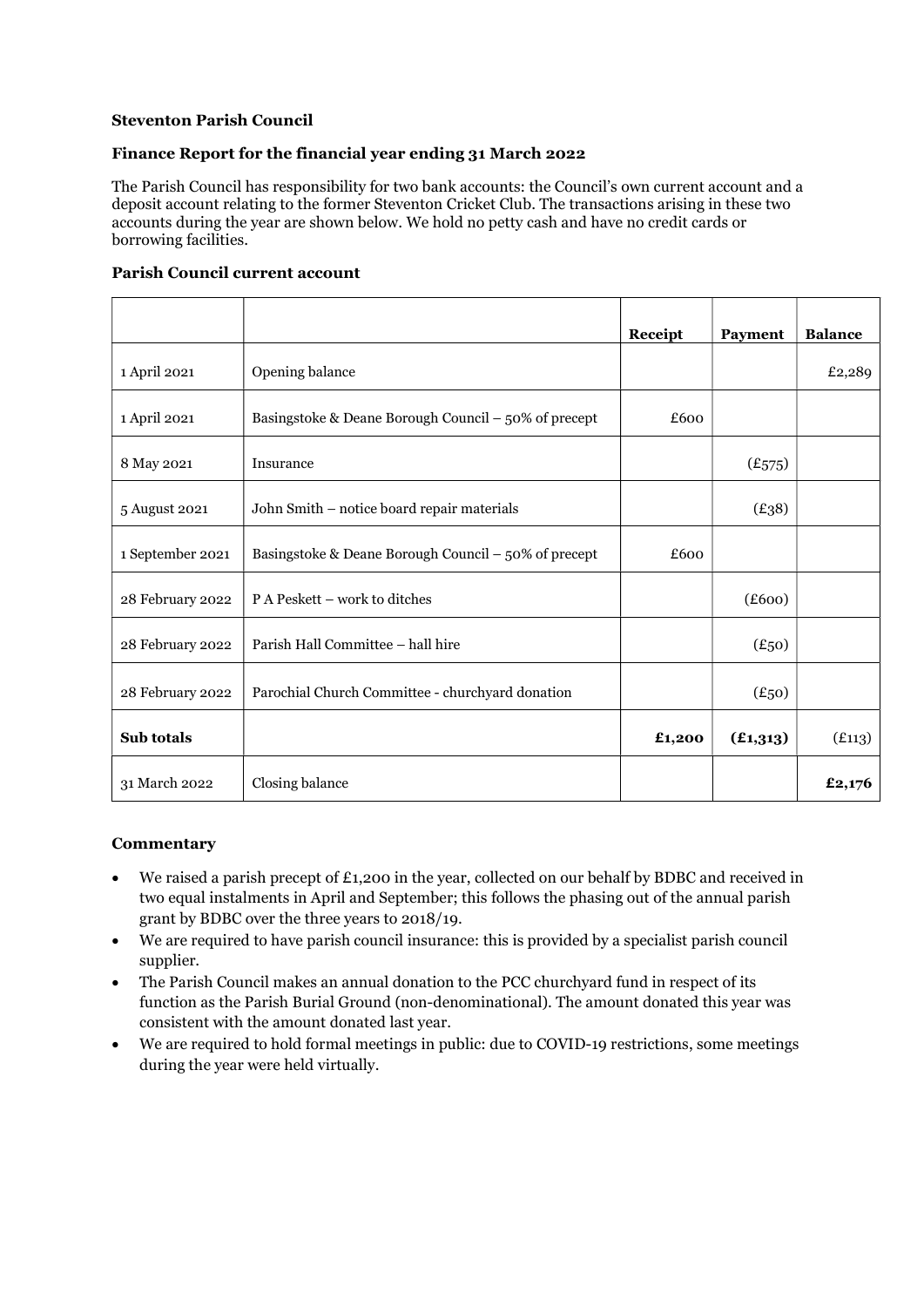# Steventon Parish Council

# Finance Report for the financial year ending 31 March 2022

The Parish Council has responsibility for two bank accounts: the Council's own current account and a deposit account relating to the former Steventon Cricket Club. The transactions arising in these two accounts during the year are shown below. We hold no petty cash and have no credit cards or borrowing facilities.

#### Parish Council current account

|                  |                                                      | Receipt | Payment    | <b>Balance</b> |
|------------------|------------------------------------------------------|---------|------------|----------------|
| 1 April 2021     | Opening balance                                      |         |            | £2,289         |
| 1 April 2021     | Basingstoke & Deane Borough Council – 50% of precept | £600    |            |                |
| 8 May 2021       | Insurance                                            |         | (E575)     |                |
| 5 August 2021    | John Smith - notice board repair materials           |         | (E38)      |                |
| 1 September 2021 | Basingstoke & Deane Borough Council – 50% of precept | £600    |            |                |
| 28 February 2022 | P A Peskett – work to ditches                        |         | (E600)     |                |
| 28 February 2022 | Parish Hall Committee - hall hire                    |         | $(E_{50})$ |                |
| 28 February 2022 | Parochial Church Committee - churchyard donation     |         | $(E_{50})$ |                |
| Sub totals       |                                                      | £1,200  | (E1,313)   | (E113)         |
| 31 March 2022    | Closing balance                                      |         |            | £2,176         |

#### **Commentary**

- $\bullet$  We raised a parish precept of £1,200 in the year, collected on our behalf by BDBC and received in two equal instalments in April and September; this follows the phasing out of the annual parish grant by BDBC over the three years to 2018/19.
- We are required to have parish council insurance: this is provided by a specialist parish council supplier.
- The Parish Council makes an annual donation to the PCC churchyard fund in respect of its function as the Parish Burial Ground (non-denominational). The amount donated this year was consistent with the amount donated last year.
- We are required to hold formal meetings in public: due to COVID-19 restrictions, some meetings during the year were held virtually.